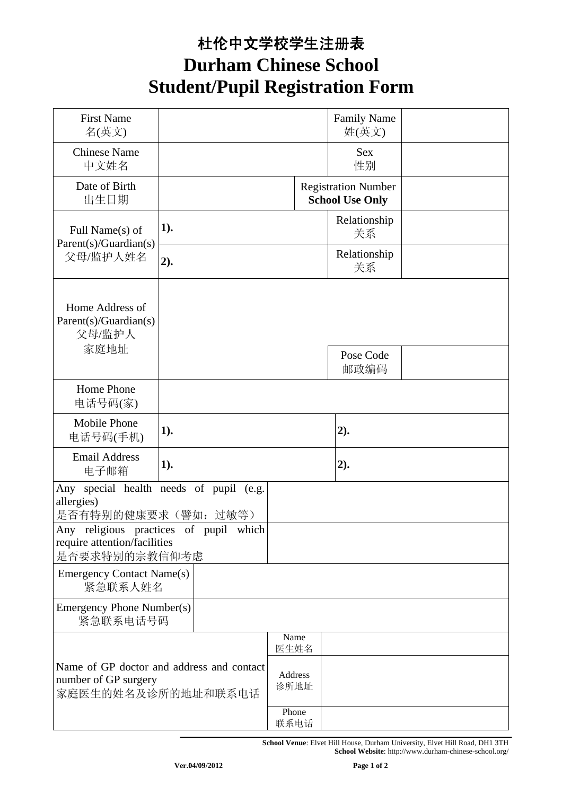## 杜伦中文学校学生注册表 **Durham Chinese School Student/Pupil Registration Form**

| <b>First Name</b><br>名(英文)                                                              |                 |               | <b>Family Name</b><br>姓(英文)                          |  |
|-----------------------------------------------------------------------------------------|-----------------|---------------|------------------------------------------------------|--|
| <b>Chinese Name</b><br>中文姓名                                                             |                 |               | <b>Sex</b><br>性别                                     |  |
| Date of Birth<br>出生日期                                                                   |                 |               | <b>Registration Number</b><br><b>School Use Only</b> |  |
| Full Name(s) of<br>Parent(s)/Guardian(s)<br>父母/监护人姓名                                    | 1).             |               | Relationship<br>关系                                   |  |
|                                                                                         | 2).             |               | Relationship<br>关系                                   |  |
| Home Address of<br>Parent(s)/Guardian(s)<br>父母/监护人                                      |                 |               |                                                      |  |
| 家庭地址                                                                                    |                 |               | Pose Code<br>邮政编码                                    |  |
| Home Phone<br>电话号码(家)                                                                   |                 |               |                                                      |  |
| Mobile Phone<br>电话号码(手机)                                                                | 1).             |               | 2).                                                  |  |
| <b>Email Address</b><br>电子邮箱                                                            | 1).             |               | 2).                                                  |  |
| Any special health needs of pupil (e.g.<br>allergies)<br>是否有特别的健康要求(譬如: 过敏等)            |                 |               |                                                      |  |
| Any religious practices of pupil which<br>require attention/facilities<br>是否要求特别的宗教信仰考虑 |                 |               |                                                      |  |
| <b>Emergency Contact Name(s)</b><br>紧急联系人姓名                                             |                 |               |                                                      |  |
| Emergency Phone Number(s)<br>紧急联系电话号码                                                   |                 |               |                                                      |  |
|                                                                                         |                 | Name<br>医生姓名  |                                                      |  |
| Name of GP doctor and address and contact<br>number of GP surgery<br>家庭医生的姓名及诊所的地址和联系电话 | Address<br>诊所地址 |               |                                                      |  |
|                                                                                         |                 | Phone<br>联系电话 |                                                      |  |

**School Venue**: Elvet Hill House, Durham University, Elvet Hill Road, DH1 3TH **School Website**: http://www.durham-chinese-school.org/